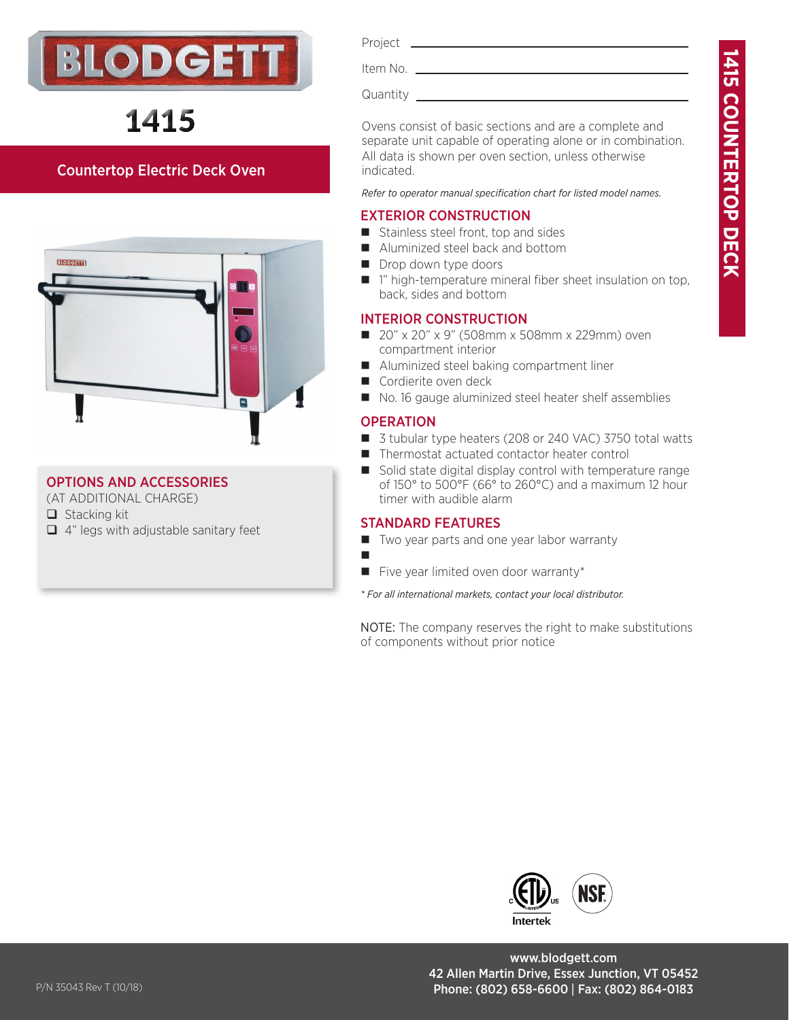



# 1415

### Countertop Electric Deck Oven



### OPTIONS AND ACCESSORIES

(AT ADDITIONAL CHARGE)

- $\Box$  Stacking kit
- $\Box$  4" legs with adjustable sanitary feet

#### Project<sub>-</sub>

Item No.

Quantity

Ovens consist of basic sections and are a complete and separate unit capable of operating alone or in combination. All data is shown per oven section, unless otherwise indicated.

*Refer to operator manual specification chart for listed model names.*

### EXTERIOR CONSTRUCTION

- $\blacksquare$  Stainless steel front, top and sides
- Aluminized steel back and bottom
- Drop down type doors
- $\blacksquare$  1" high-temperature mineral fiber sheet insulation on top, back, sides and bottom

### INTERIOR CONSTRUCTION

- 20" x 20" x 9" (508mm x 508mm x 229mm) oven compartment interior
- Aluminized steel baking compartment liner
- Cordierite oven deck
- No. 16 gauge aluminized steel heater shelf assemblies

### **OPERATION**

ш

- 3 tubular type heaters (208 or 240 VAC) 3750 total watts
- Thermostat actuated contactor heater control
- Solid state digital display control with temperature range of 150° to 500°F (66° to 260°C) and a maximum 12 hour timer with audible alarm

### STANDARD FEATURES

- Two year parts and one year labor warranty
- $\blacksquare$  Five year limited oven door warranty\*

*\* For all international markets, contact your local distributor.*

NOTE: The company reserves the right to make substitutions of components without prior notice



www.blodgett.com 42 Allen Martin Drive, Essex Junction, VT 05452 P/N 35043 Rev T (10/18) 264-0183 Phone: (802) 658-6600 | Fax: (802) 864-0183